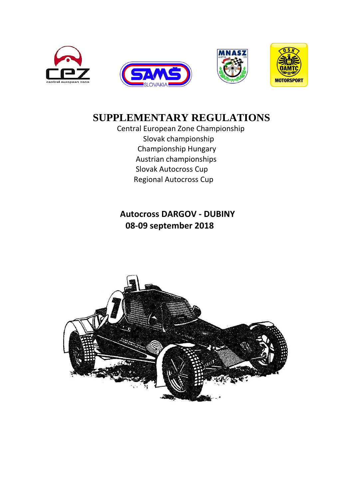



# **SUPPLEMENTARY REGULATIONS**

 Central European Zone Championship Slovak championship Championship Hungary Austrian championships Slovak Autocross Cup Regional Autocross Cup

## **Autocross DARGOV - DUBINY 08-09 september 2018**

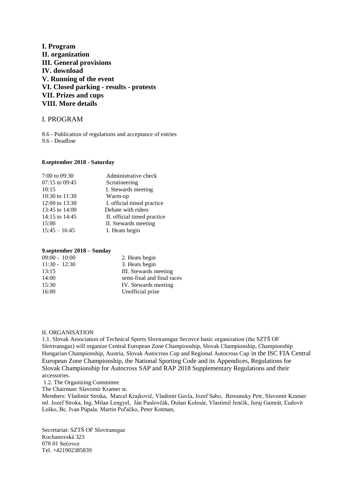## **I. Program II. organization III. General provisions IV. download V. Running of the event VI. Closed parking - results - protests VII. Prizes and cups VIII. More details**

#### I. PROGRAM

8.6 - Publication of regulations and acceptance of entries 9.6 - Deadline

#### **8.september 2018 - Saturday**

| 7:00 to 09:30   | Administrative check        |
|-----------------|-----------------------------|
| 07:15 to 09:45  | Scrutineering               |
| 10:15           | I. Stewards meeting         |
| 10:30 to 11:30  | Warm-up                     |
| 12:00 to 13:30  | I. official timed practice  |
| 13:45 to 14:00  | Debate with riders          |
| 14:15 to 14:45  | II. official timed practice |
| 15:00           | II. Stewards meeting        |
| $15:45 - 16:45$ | 1. Heats begin              |
|                 |                             |

#### **9.september 2018 – Sunday**

| $09:00 - 10:00$ | 2. Heats begin             |
|-----------------|----------------------------|
| $11:30 - 12:30$ | 3. Heats begin             |
| 13:15           | III. Stewards meeting      |
| 14:00           | semi-final and final races |
| 15:30           | IV. Stewards meeting       |
| 16:00           | Unofficial prize           |

#### II. ORGANISATION

1.1. Slovak Association of Technical Sports Slovtransgaz Secovce basic organization (the SZTŠ OF Slovtransgaz) will organize Central European Zone Championship, Slovak Championship, Championship Hungarian Championship, Austria, Slovak Autocross Cup and Regional Autocross Cup in the ISC FIA Central European Zone Championship, the National Sporting Code and its Appendices, Regulations for Slovak Championship for Autocross SAP and RAP 2018 Supplementary Regulations and their accessories.

1.2. The Organizing Committee

The Chairman: Slavomír Kramer st.

Members: Vladimír Stroka, Marcel Krajkovič, Vladimír Gavla, Jozef Sabo, Berounsky Petr, Slavomír Kramer ml. Jozef Stroka, Ing. Milan Lengyel, Ján Paulovčák, Dušan Kolesár, Vlastimil Jenčík, Juraj Gamrát, Ľudovít Leško, Bc. Ivan Púpala. Martin Poľačko, Peter Kotman,

Secretariat: SZTŠ OF Slovtransgaz Kochanovská 323 078 01 Sečovce Tel. +421902385839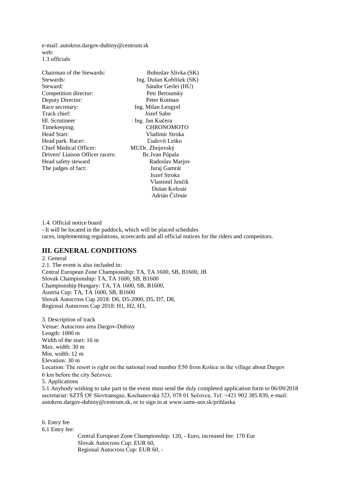e-mail: autokros.dargov-dubiny@centrum.sk web: 1.3 officials

| Chairman of the Stewards:        | Bohuslav Slivka (SK)     |
|----------------------------------|--------------------------|
| Stewards:                        | Ing. Dušan Koblíšek (SK) |
| Steward:                         | Sándor Gerlei (HU)       |
| Competition director:            | Petr Berounsky           |
| Deputy Director:                 | Peter Kotman             |
| Race secretary:                  | Ing. Milan Lengyel       |
| Track chief:                     | Jozef Sabo               |
| Hl. Scrutineer                   | : Ing. Jan Kučera        |
| Timekeeping:                     | <b>CHRONOMOTO</b>        |
| Head Start:                      | Vladimir Stroka          |
| Head park. Racer:                | Ľudovít Leško            |
| <b>Chief Medical Officer:</b>    | MUDr. Zbojovský          |
| Drivers' Liaison Officer racers: | Bc.Ivan Púpala           |
| Head safety steward              | Radoslav Marjov          |
| The judges of fact:              | Juraj Gamrát             |
|                                  | Jozef Stroka             |
|                                  | Vlastimil Jenčík         |
|                                  | Dušan Kolesár            |
|                                  | Adrián Čižmár            |

1.4. Official notice board - It will be located in the paddock, which will be placed schedules races, implementing regulations, scorecards and all official notices for the riders and competitors.

#### **III. GENERAL CONDITIONS**

2. General 2.1. The event is also included in: Central European Zone Championship: TA, TA 1600, SB, B1600, JB Slovak Championship: TA, TA 1600, SB, B1600 Championship Hungary: TA, TA 1600, SB, B1600, Austria Cup: TA, TA 1600, SB, B1600 Slovak Autocross Cup 2018: D6, D5-2000, D5, D7, D8, Regional Autocross Cup 2018: H1, H2, H3,

3. Description of track Venue: Autocross area Dargov-Dubiny Length: 1000 m Width of the start: 16 m Max. width: 30 m Min. width: 12 m Elevation: 30 m Location: The resort is right on the national road number E50 from Košice in the village about Dargov 6 km before the city Sečovce. 5. Applications 5.1 Anybody wishing to take part in the event must send the duly completed application form to 06/09/2018 secretariat: SZTŠ OF Slovtransgaz, Kochanovská 323, 078 01 Sečovce, Tel: +421 902 385 839, e-mail: autokros.dargov-dubiny@centrum.sk, or to sign in at www.sams-asn.sk/prihlaska

6. Entry fee 6.1 Entry fee: Central European Zone Championship: 120, - Euro, increased fee: 170 Eur Slovak Autocross Cup: EUR 60, Regional Autocross Cup: EUR 60, -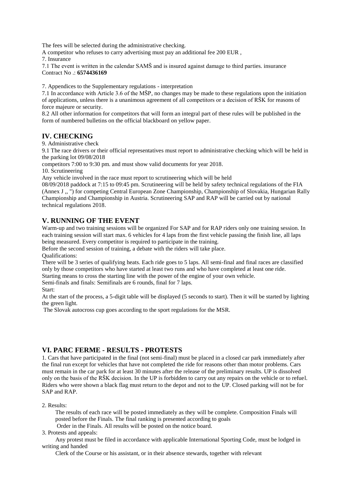The fees will be selected during the administrative checking.

A competitor who refuses to carry advertising must pay an additional fee 200 EUR ,

7. Insurance

7.1 The event is written in the calendar SAMŠ and is insured against damage to third parties. insurance Contract No .: **6574436169**

7. Appendices to the Supplementary regulations - interpretation

7.1 In accordance with Article 3.6 of the MŠP, no changes may be made to these regulations upon the initiation of applications, unless there is a unanimous agreement of all competitors or a decision of RŠK for reasons of force majeure or security.

8.2 All other information for competitors that will form an integral part of these rules will be published in the form of numbered bulletins on the official blackboard on yellow paper.

#### **IV. CHECKING**

9. Administrative check

9.1 The race drivers or their official representatives must report to administrative checking which will be held in the parking lot 09/08/2018

competitors 7:00 to 9:30 pm. and must show valid documents for year 2018.

10. Scrutineering

Any vehicle involved in the race must report to scrutineering which will be held

08/09/2018 paddock at 7:15 to 09:45 pm. Scrutineering will be held by safety technical regulations of the FIA (Annex J ,, ") for competing Central European Zone Championship, Championship of Slovakia, Hungarian Rally Championship and Championship in Austria. Scrutineering SAP and RAP will be carried out by national technical regulations 2018.

#### **V. RUNNING OF THE EVENT**

Warm-up and two training sessions will be organized For SAP and for RAP riders only one training session. In each training session will start max. 6 vehicles for 4 laps from the first vehicle passing the finish line, all laps being measured. Every competitor is required to participate in the training.

Before the second session of training, a debate with the riders will take place.

Qualifications:

There will be 3 series of qualifying heats. Each ride goes to 5 laps. All semi-final and final races are classified only by those competitors who have started at least two runs and who have completed at least one ride. Starting means to cross the starting line with the power of the engine of your own vehicle.

Semi-finals and finals: Semifinals are 6 rounds, final for 7 laps.

Start:

At the start of the process, a 5-digit table will be displayed (5 seconds to start). Then it will be started by lighting the green light.

The Slovak autocross cup goes according to the sport regulations for the MSR.

## **VI. PARC FERME - RESULTS - PROTESTS**

1. Cars that have participated in the final (not semi-final) must be placed in a closed car park immediately after the final run except for vehicles that have not completed the ride for reasons other than motor problems. Cars must remain in the car park for at least 30 minutes after the release of the preliminary results. UP is dissolved only on the basis of the RŠK decision. In the UP is forbidden to carry out any repairs on the vehicle or to refuel. Riders who were shown a black flag must return to the depot and not to the UP. Closed parking will not be for SAP and RAP.

2. Results:

 The results of each race will be posted immediately as they will be complete. Composition Finals will posted before the Finals. The final ranking is presented according to goals

Order in the Finals. All results will be posted on the notice board.

3. Protests and appeals:

 Any protest must be filed in accordance with applicable International Sporting Code, must be lodged in writing and handed

Clerk of the Course or his assistant, or in their absence stewards, together with relevant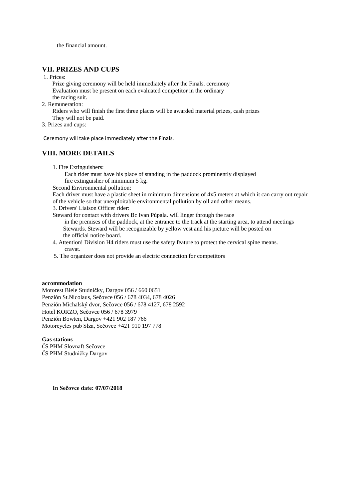the financial amount.

## **VII. PRIZES AND CUPS**

1. Prices:

 Prize giving ceremony will be held immediately after the Finals. ceremony Evaluation must be present on each evaluated competitor in the ordinary the racing suit.

2. Remuneration:

 Riders who will finish the first three places will be awarded material prizes, cash prizes They will not be paid.

3. Prizes and cups:

Ceremony will take place immediately after the Finals.

## **VIII. MORE DETAILS**

1. Fire Extinguishers:

 Each rider must have his place of standing in the paddock prominently displayed fire extinguisher of minimum 5 kg.

Second Environmental pollution:

Each driver must have a plastic sheet in minimum dimensions of 4x5 meters at which it can carry out repair of the vehicle so that unexploitable environmental pollution by oil and other means.

3. Drivers' Liaison Officer rider:

Steward for contact with drivers Bc Ivan Púpala. will linger through the race in the premises of the paddock, at the entrance to the track at the starting area, to attend meetings Stewards. Steward will be recognizable by yellow vest and his picture will be posted on the official notice board.

- 4. Attention! Division H4 riders must use the safety feature to protect the cervical spine means. cravat.
- 5. The organizer does not provide an electric connection for competitors

#### **accommodation**

Motorest Biele Studničky, Dargov 056 / 660 0651 Penzión St.Nicolaus, Sečovce 056 / 678 4034, 678 4026 Penzión Michalský dvor, Sečovce 056 / 678 4127, 678 2592 Hotel KORZO, Sečovce 056 / 678 3979 Penzión Bowten, Dargov +421 902 187 766 Motorcycles pub Slza, Sečovce +421 910 197 778

#### **Gas stations**

ČS PHM Slovnaft Sečovce ČS PHM Studničky Dargov

**In Sečovce date: 07/07/2018**